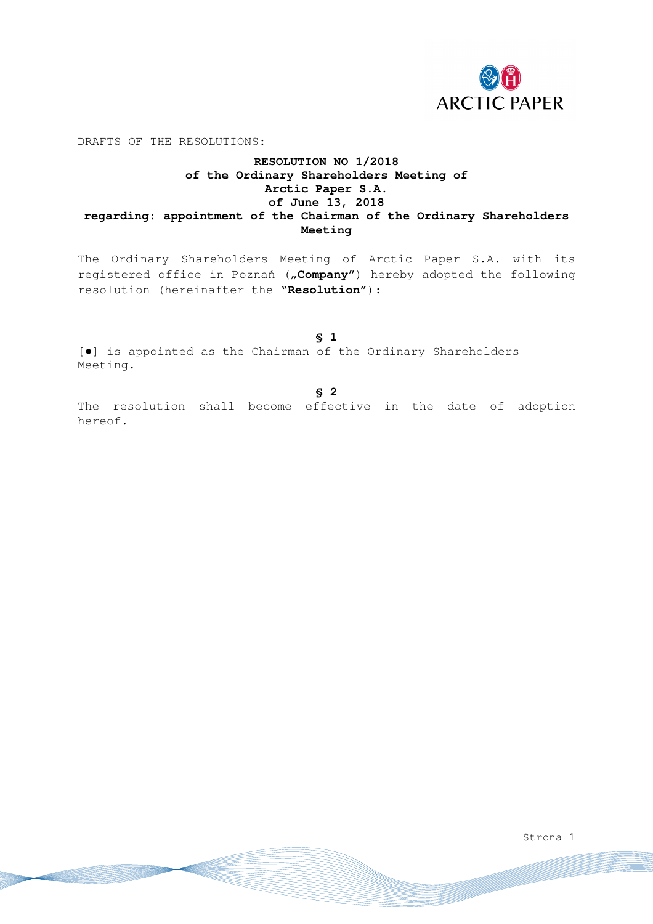

DRAFTS OF THE RESOLUTIONS:

# **RESOLUTION NO 1/2018 of the Ordinary Shareholders Meeting of Arctic Paper S.A. of June 13, 2018 regarding: appointment of the Chairman of the Ordinary Shareholders Meeting**

The Ordinary Shareholders Meeting of Arctic Paper S.A. with its registered office in Poznań ("Company") hereby adopted the following resolution (hereinafter the **"Resolution"**):

**§ 1**  [●] is appointed as the Chairman of the Ordinary Shareholders Meeting.

**§ 2** 

The resolution shall become effective in the date of adoption hereof.

Strona 1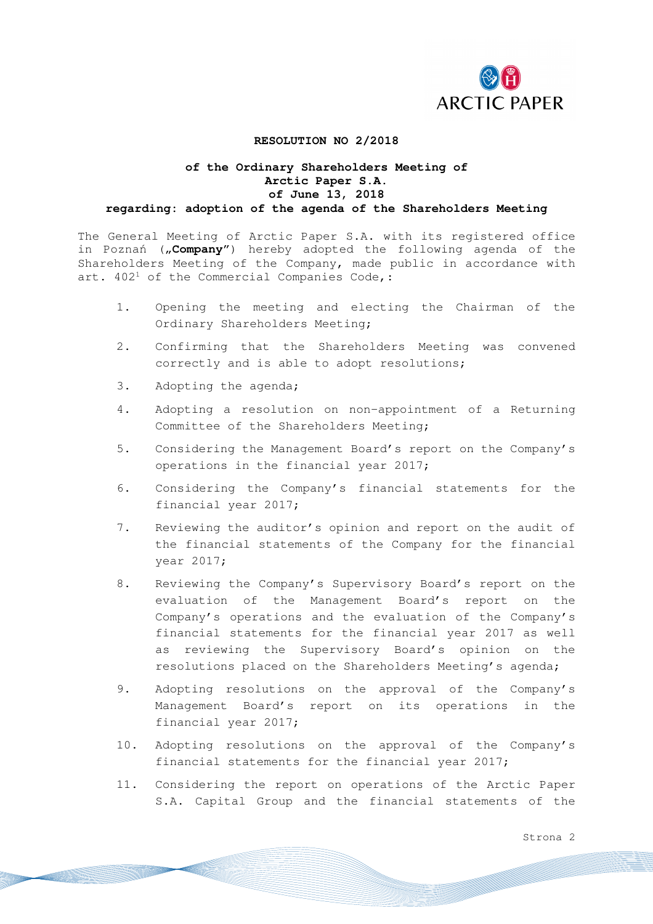

#### **RESOLUTION NO 2/2018**

#### **of the Ordinary Shareholders Meeting of Arctic Paper S.A. of June 13, 2018 regarding: adoption of the agenda of the Shareholders Meeting**

The General Meeting of Arctic Paper S.A. with its registered office in Poznań ("Company") hereby adopted the following agenda of the Shareholders Meeting of the Company, made public in accordance with art.  $402<sup>1</sup>$  of the Commercial Companies Code,:

- 1. Opening the meeting and electing the Chairman of the Ordinary Shareholders Meeting;
- 2. Confirming that the Shareholders Meeting was convened correctly and is able to adopt resolutions;
- 3. Adopting the agenda;
- 4. Adopting a resolution on non-appointment of a Returning Committee of the Shareholders Meeting;
- 5. Considering the Management Board's report on the Company's operations in the financial year 2017;
- 6. Considering the Company's financial statements for the financial year 2017;
- 7. Reviewing the auditor's opinion and report on the audit of the financial statements of the Company for the financial year 2017;
- 8. Reviewing the Company's Supervisory Board's report on the evaluation of the Management Board's report on the Company's operations and the evaluation of the Company's financial statements for the financial year 2017 as well as reviewing the Supervisory Board's opinion on the resolutions placed on the Shareholders Meeting's agenda;
- 9. Adopting resolutions on the approval of the Company's Management Board's report on its operations in the financial year 2017;
- 10. Adopting resolutions on the approval of the Company's financial statements for the financial year 2017;
- 11. Considering the report on operations of the Arctic Paper S.A. Capital Group and the financial statements of the

Strona 2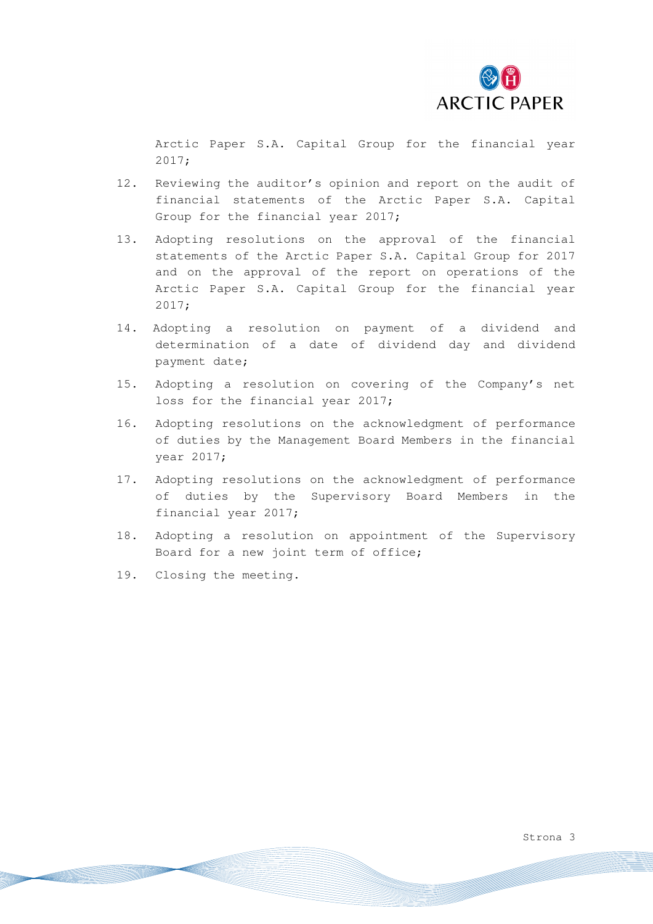

Arctic Paper S.A. Capital Group for the financial year 2017;

- 12. Reviewing the auditor's opinion and report on the audit of financial statements of the Arctic Paper S.A. Capital Group for the financial year 2017;
- 13. Adopting resolutions on the approval of the financial statements of the Arctic Paper S.A. Capital Group for 2017 and on the approval of the report on operations of the Arctic Paper S.A. Capital Group for the financial year 2017;
- 14. Adopting a resolution on payment of a dividend and determination of a date of dividend day and dividend payment date;
- 15. Adopting a resolution on covering of the Company's net loss for the financial year 2017;
- 16. Adopting resolutions on the acknowledgment of performance of duties by the Management Board Members in the financial year 2017;
- 17. Adopting resolutions on the acknowledgment of performance of duties by the Supervisory Board Members in the financial year 2017;
- 18. Adopting a resolution on appointment of the Supervisory Board for a new joint term of office;
- 19. Closing the meeting.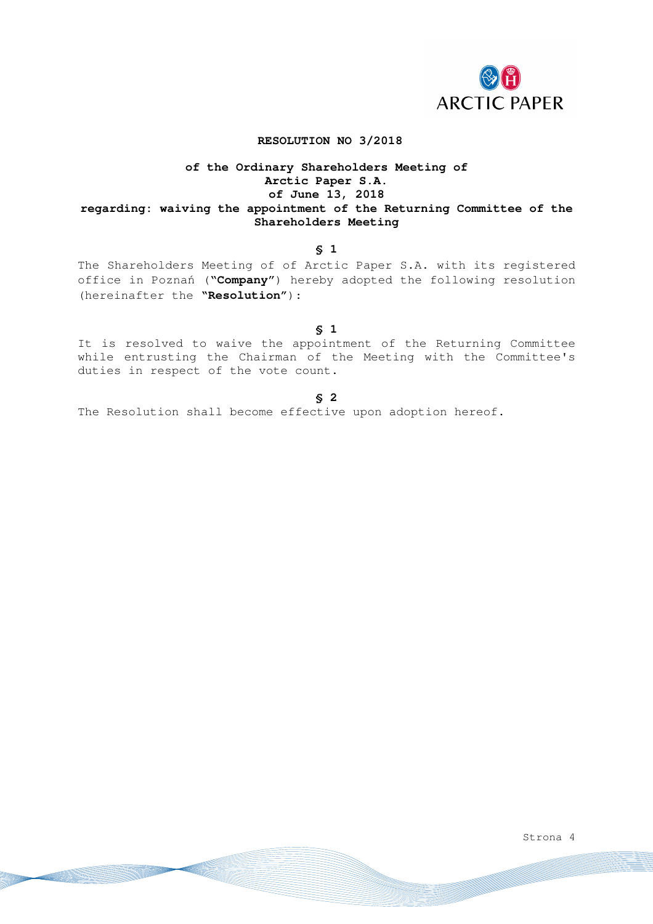

### **RESOLUTION NO 3/2018**

# **of the Ordinary Shareholders Meeting of Arctic Paper S.A. of June 13, 2018 regarding: waiving the appointment of the Returning Committee of the Shareholders Meeting**

#### **§ 1**

The Shareholders Meeting of of Arctic Paper S.A. with its registered office in Poznań ("**Company**") hereby adopted the following resolution (hereinafter the **"Resolution"**):

**§ 1** 

It is resolved to waive the appointment of the Returning Committee while entrusting the Chairman of the Meeting with the Committee's duties in respect of the vote count.

**§ 2** 

The Resolution shall become effective upon adoption hereof.

Strona 4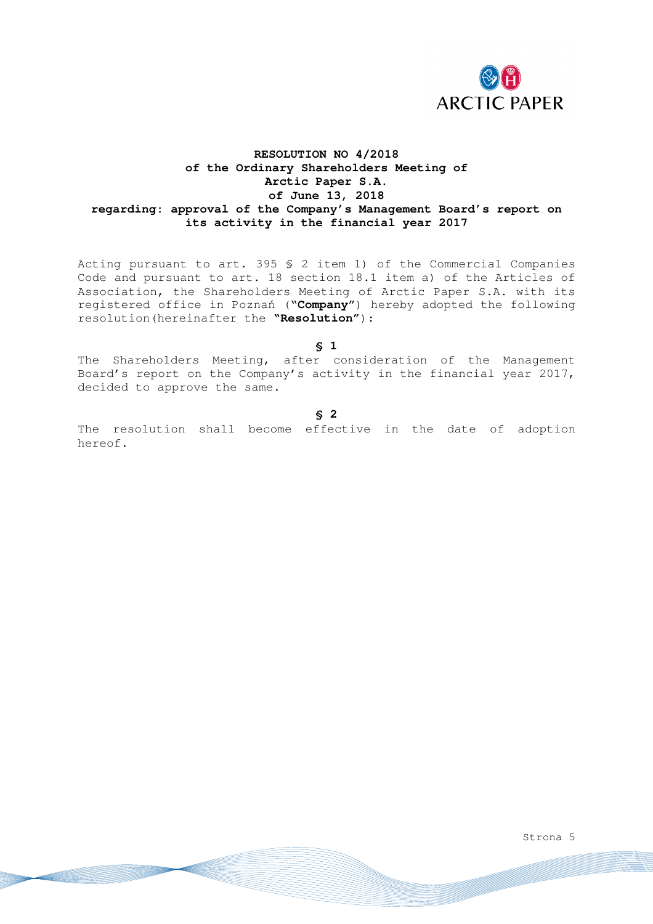

# **RESOLUTION NO 4/2018 of the Ordinary Shareholders Meeting of Arctic Paper S.A. of June 13, 2018 regarding: approval of the Company's Management Board's report on its activity in the financial year 2017**

Acting pursuant to art. 395 § 2 item 1) of the Commercial Companies Code and pursuant to art. 18 section 18.1 item a) of the Articles of Association, the Shareholders Meeting of Arctic Paper S.A. with its registered office in Poznań ("**Company**") hereby adopted the following resolution(hereinafter the **"Resolution"**):

**§ 1** 

The Shareholders Meeting, after consideration of the Management Board's report on the Company's activity in the financial year 2017, decided to approve the same.

**§ 2** 

The resolution shall become effective in the date of adoption hereof.

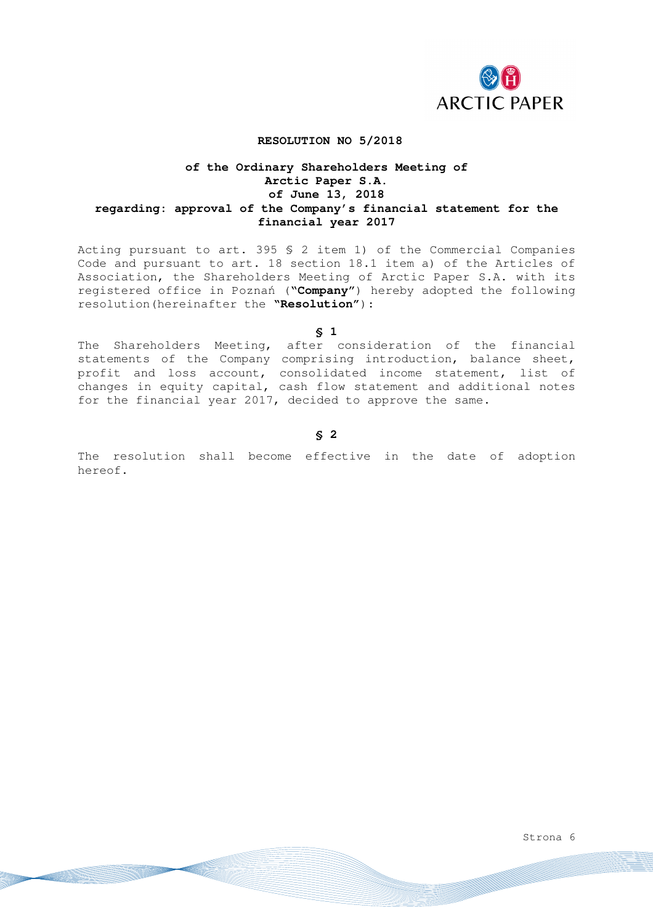

#### **RESOLUTION NO 5/2018**

## **of the Ordinary Shareholders Meeting of Arctic Paper S.A. of June 13, 2018 regarding: approval of the Company's financial statement for the financial year 2017**

Acting pursuant to art. 395 § 2 item 1) of the Commercial Companies Code and pursuant to art. 18 section 18.1 item a) of the Articles of Association, the Shareholders Meeting of Arctic Paper S.A. with its registered office in Poznań ("**Company**") hereby adopted the following resolution(hereinafter the **"Resolution"**):

**§ 1** 

The Shareholders Meeting, after consideration of the financial statements of the Company comprising introduction, balance sheet, profit and loss account, consolidated income statement, list of changes in equity capital, cash flow statement and additional notes for the financial year 2017, decided to approve the same.

#### **§ 2**

The resolution shall become effective in the date of adoption hereof.

Strona 6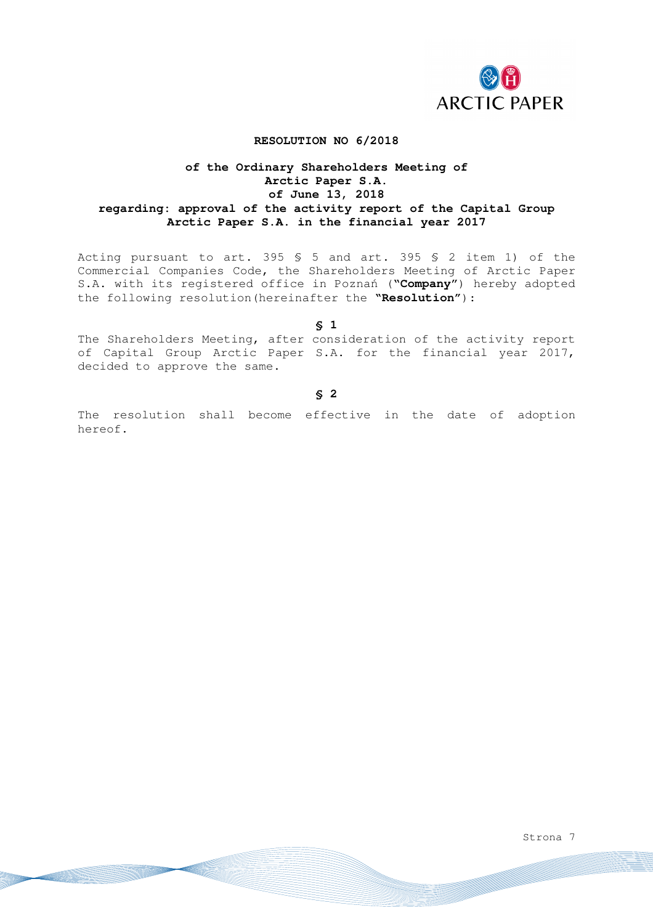

## **RESOLUTION NO 6/2018**

## **of the Ordinary Shareholders Meeting of Arctic Paper S.A. of June 13, 2018 regarding: approval of the activity report of the Capital Group Arctic Paper S.A. in the financial year 2017**

Acting pursuant to art. 395 § 5 and art. 395 § 2 item 1) of the Commercial Companies Code, the Shareholders Meeting of Arctic Paper S.A. with its registered office in Poznań ("**Company**") hereby adopted the following resolution(hereinafter the **"Resolution"**):

**§ 1** 

The Shareholders Meeting, after consideration of the activity report of Capital Group Arctic Paper S.A. for the financial year 2017, decided to approve the same.

**§ 2** 

The resolution shall become effective in the date of adoption hereof.

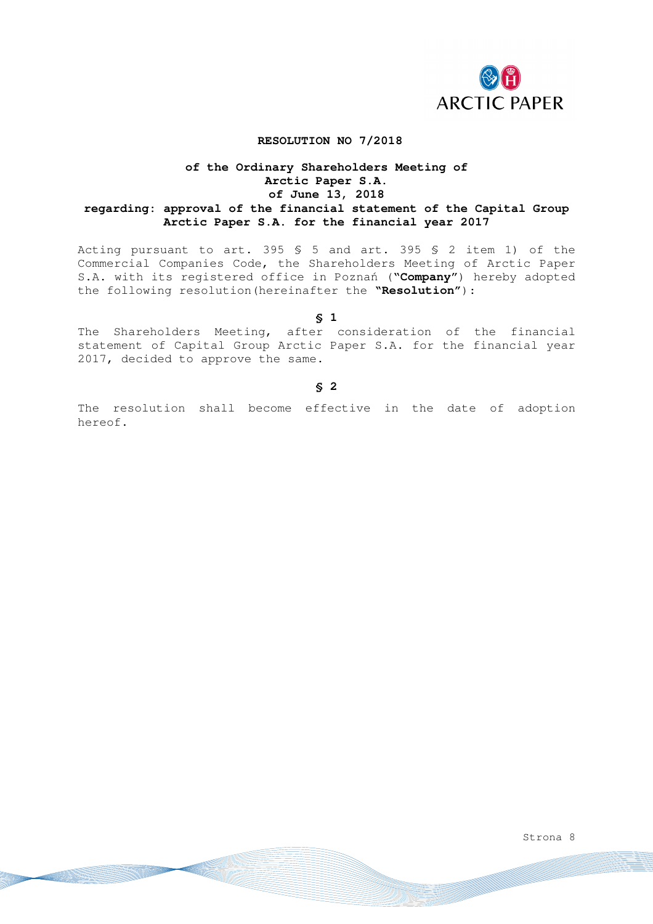

### **RESOLUTION NO 7/2018**

## **of the Ordinary Shareholders Meeting of Arctic Paper S.A. of June 13, 2018 regarding: approval of the financial statement of the Capital Group Arctic Paper S.A. for the financial year 2017**

Acting pursuant to art. 395 § 5 and art. 395 § 2 item 1) of the Commercial Companies Code, the Shareholders Meeting of Arctic Paper S.A. with its registered office in Poznań ("**Company**") hereby adopted the following resolution(hereinafter the **"Resolution"**):

**§ 1** 

The Shareholders Meeting, after consideration of the financial statement of Capital Group Arctic Paper S.A. for the financial year 2017, decided to approve the same.

**§ 2** 

The resolution shall become effective in the date of adoption hereof.

Strona 8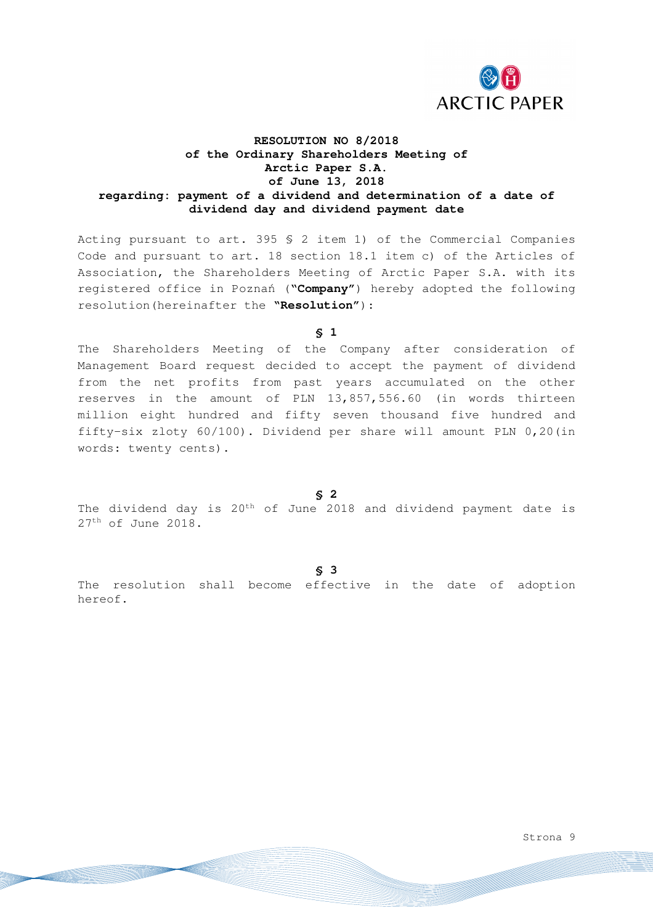

# **RESOLUTION NO 8/2018 of the Ordinary Shareholders Meeting of Arctic Paper S.A. of June 13, 2018 regarding: payment of a dividend and determination of a date of dividend day and dividend payment date**

Acting pursuant to art. 395 § 2 item 1) of the Commercial Companies Code and pursuant to art. 18 section 18.1 item c) of the Articles of Association, the Shareholders Meeting of Arctic Paper S.A. with its registered office in Poznań ("**Company"**) hereby adopted the following resolution(hereinafter the **"Resolution"**):

**§ 1** 

The Shareholders Meeting of the Company after consideration of Management Board request decided to accept the payment of dividend from the net profits from past years accumulated on the other reserves in the amount of PLN 13,857,556.60 (in words thirteen million eight hundred and fifty seven thousand five hundred and fifty-six zloty 60/100). Dividend per share will amount PLN 0,20(in words: twenty cents).

**§ 2** 

The dividend day is 20th of June 2018 and dividend payment date is 27th of June 2018.

**§ 3** 

The resolution shall become effective in the date of adoption hereof.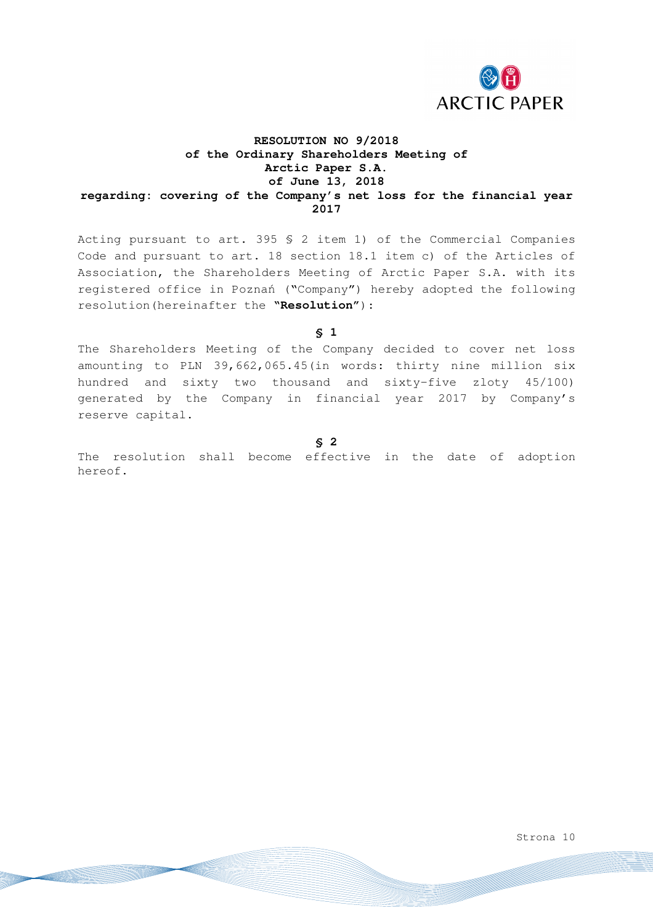

# **RESOLUTION NO 9/2018 of the Ordinary Shareholders Meeting of Arctic Paper S.A. of June 13, 2018 regarding: covering of the Company's net loss for the financial year 2017**

Acting pursuant to art. 395 § 2 item 1) of the Commercial Companies Code and pursuant to art. 18 section 18.1 item c) of the Articles of Association, the Shareholders Meeting of Arctic Paper S.A. with its registered office in Poznań ("Company") hereby adopted the following resolution(hereinafter the **"Resolution"**):

**§ 1** 

The Shareholders Meeting of the Company decided to cover net loss amounting to PLN 39,662,065.45(in words: thirty nine million six hundred and sixty two thousand and sixty-five zloty 45/100) generated by the Company in financial year 2017 by Company's reserve capital.

**§ 2** 

The resolution shall become effective in the date of adoption hereof.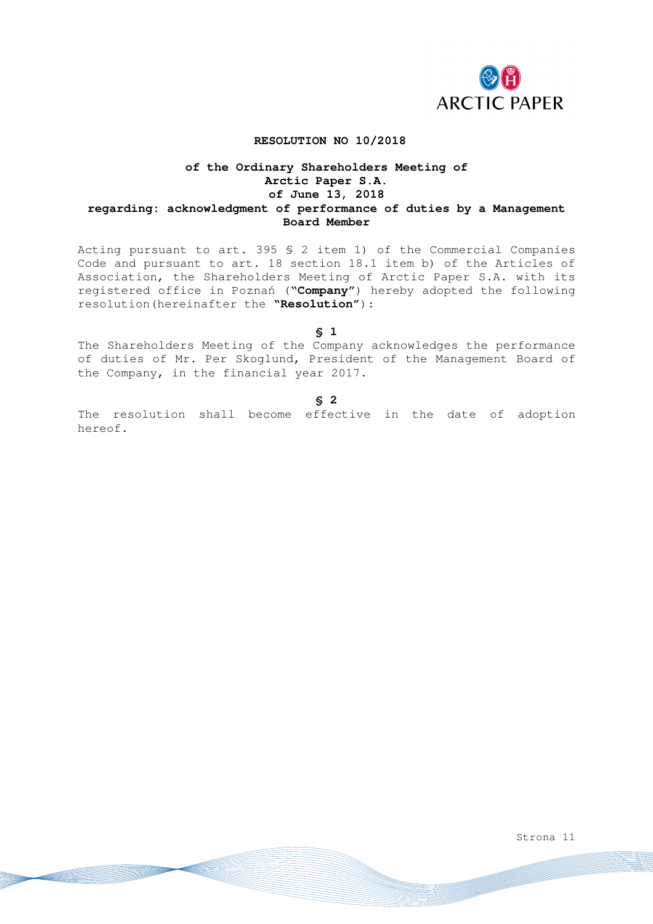

### **RESOLUTION NO 10/2018**

## **of the Ordinary Shareholders Meeting of Arctic Paper S.A. of June 13, 2018 regarding: acknowledgment of performance of duties by a Management Board Member**

Acting pursuant to art. 395 § 2 item 1) of the Commercial Companies Code and pursuant to art. 18 section 18.1 item b) of the Articles of Association, the Shareholders Meeting of Arctic Paper S.A. with its registered office in Poznań ("**Company**") hereby adopted the following resolution(hereinafter the **"Resolution"**):

**§ 1** 

The Shareholders Meeting of the Company acknowledges the performance of duties of Mr. Per Skoglund, President of the Management Board of the Company, in the financial year 2017.

**§ 2** 

The resolution shall become effective in the date of adoption hereof.

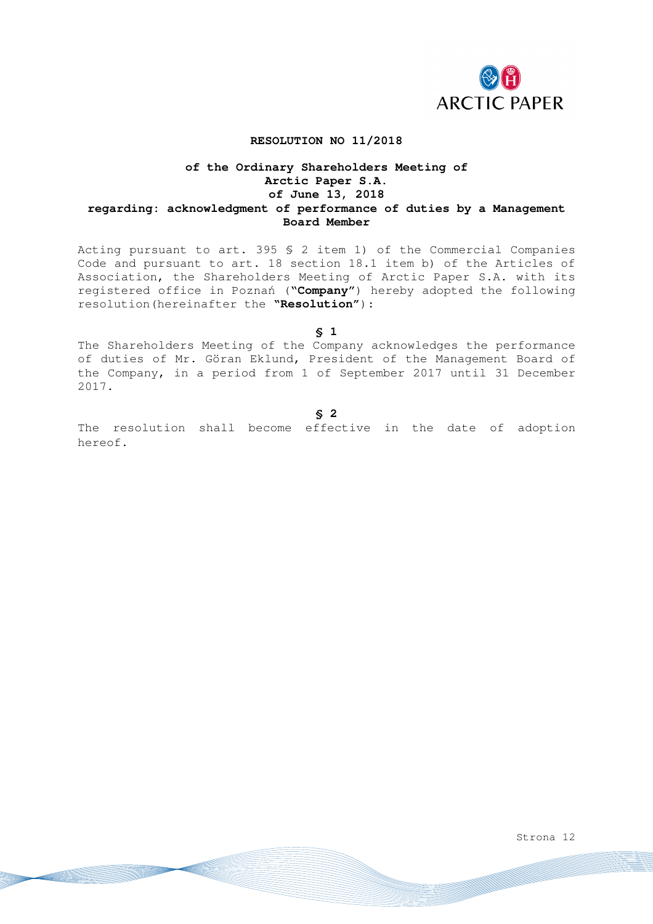

### **RESOLUTION NO 11/2018**

## **of the Ordinary Shareholders Meeting of Arctic Paper S.A. of June 13, 2018 regarding: acknowledgment of performance of duties by a Management Board Member**

Acting pursuant to art. 395 § 2 item 1) of the Commercial Companies Code and pursuant to art. 18 section 18.1 item b) of the Articles of Association, the Shareholders Meeting of Arctic Paper S.A. with its registered office in Poznań ("**Company**") hereby adopted the following resolution(hereinafter the **"Resolution"**):

**§ 1** 

The Shareholders Meeting of the Company acknowledges the performance of duties of Mr. Göran Eklund, President of the Management Board of the Company, in a period from 1 of September 2017 until 31 December 2017.

**§ 2** 

The resolution shall become effective in the date of adoption hereof.

Strona 12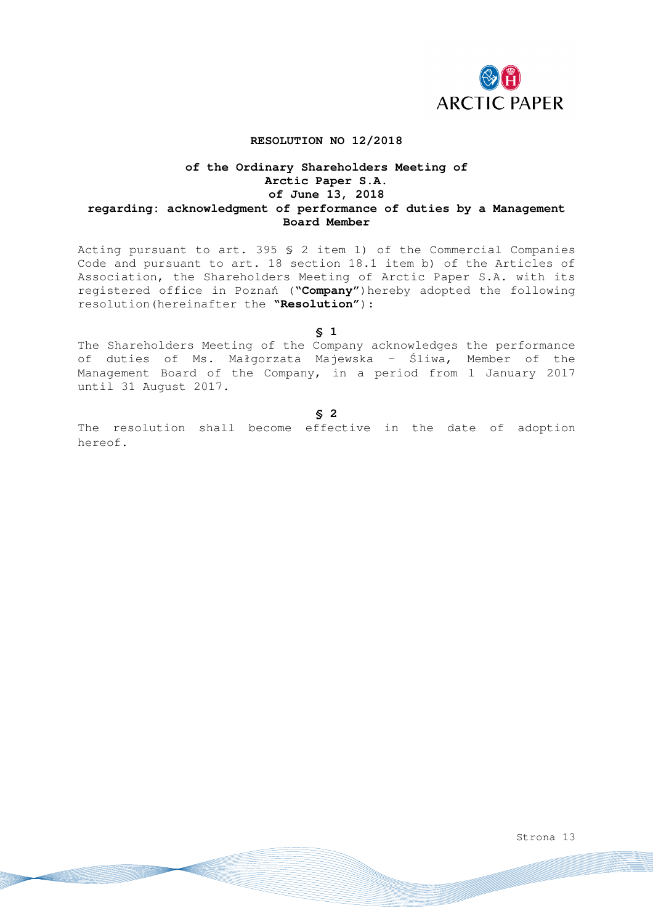

#### **RESOLUTION NO 12/2018**

## **of the Ordinary Shareholders Meeting of Arctic Paper S.A. of June 13, 2018 regarding: acknowledgment of performance of duties by a Management Board Member**

Acting pursuant to art. 395 § 2 item 1) of the Commercial Companies Code and pursuant to art. 18 section 18.1 item b) of the Articles of Association, the Shareholders Meeting of Arctic Paper S.A. with its registered office in Poznań ("**Company**")hereby adopted the following resolution(hereinafter the **"Resolution"**):

**§ 1** 

The Shareholders Meeting of the Company acknowledges the performance of duties of Ms. Małgorzata Majewska – Śliwa, Member of the Management Board of the Company, in a period from 1 January 2017 until 31 August 2017.

**§ 2** 

The resolution shall become effective in the date of adoption hereof.

Strona 13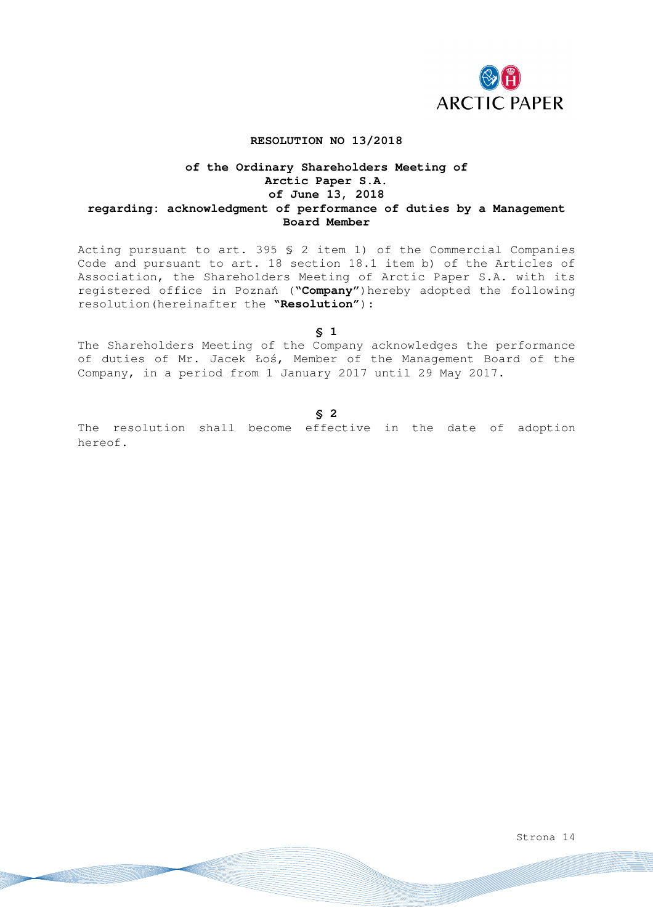

### **RESOLUTION NO 13/2018**

## **of the Ordinary Shareholders Meeting of Arctic Paper S.A. of June 13, 2018 regarding: acknowledgment of performance of duties by a Management Board Member**

Acting pursuant to art. 395 § 2 item 1) of the Commercial Companies Code and pursuant to art. 18 section 18.1 item b) of the Articles of Association, the Shareholders Meeting of Arctic Paper S.A. with its registered office in Poznań ("**Company**")hereby adopted the following resolution(hereinafter the **"Resolution"**):

**§ 1** 

The Shareholders Meeting of the Company acknowledges the performance of duties of Mr. Jacek Łoś, Member of the Management Board of the Company, in a period from 1 January 2017 until 29 May 2017.

#### **§ 2**

The resolution shall become effective in the date of adoption hereof.

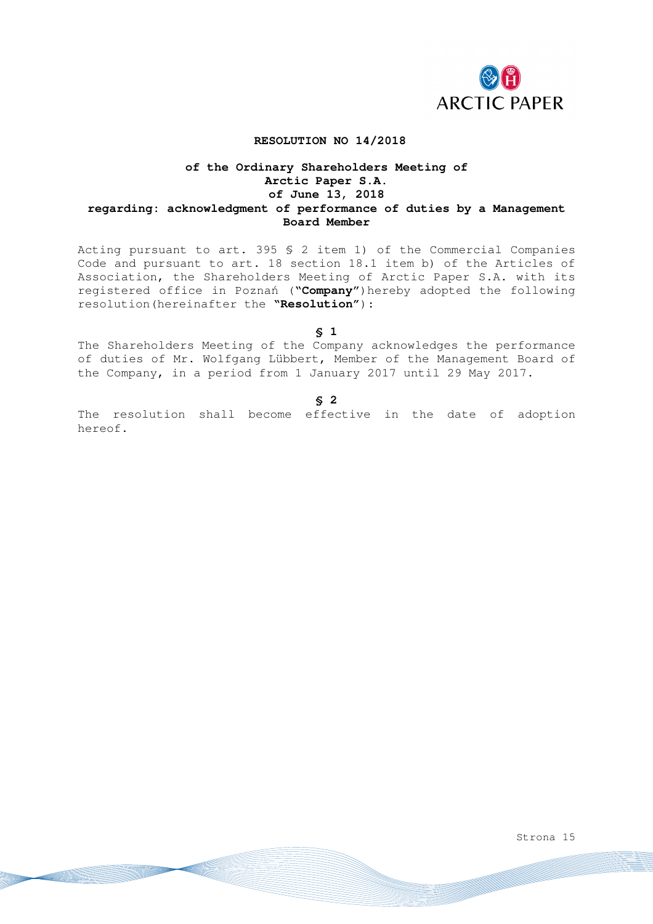

### **RESOLUTION NO 14/2018**

## **of the Ordinary Shareholders Meeting of Arctic Paper S.A. of June 13, 2018 regarding: acknowledgment of performance of duties by a Management Board Member**

Acting pursuant to art. 395 § 2 item 1) of the Commercial Companies Code and pursuant to art. 18 section 18.1 item b) of the Articles of Association, the Shareholders Meeting of Arctic Paper S.A. with its registered office in Poznań ("**Company**")hereby adopted the following resolution(hereinafter the **"Resolution"**):

**§ 1** 

The Shareholders Meeting of the Company acknowledges the performance of duties of Mr. Wolfgang Lübbert, Member of the Management Board of the Company, in a period from 1 January 2017 until 29 May 2017.

**§ 2** 

The resolution shall become effective in the date of adoption hereof.

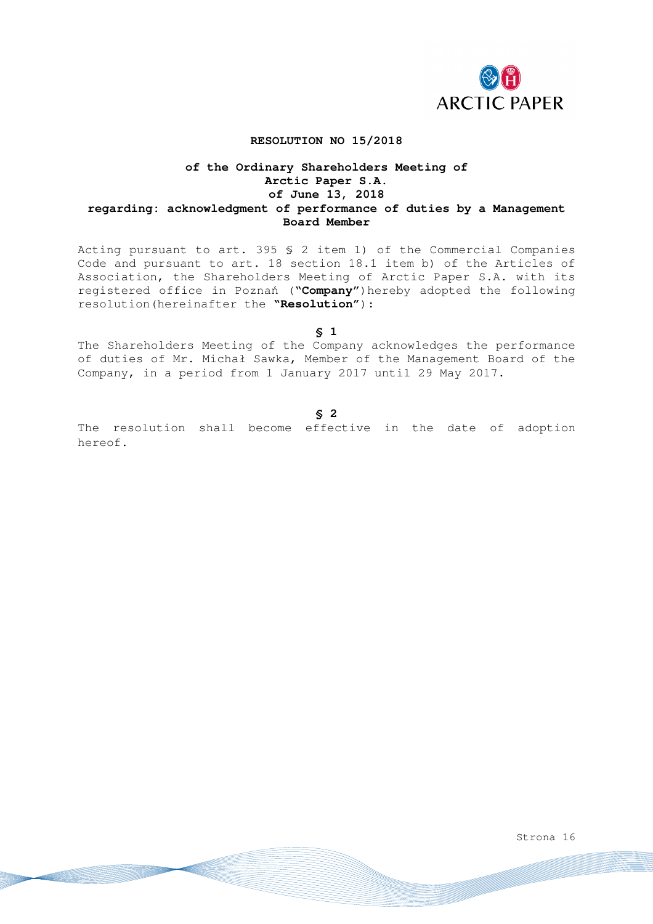

### **RESOLUTION NO 15/2018**

## **of the Ordinary Shareholders Meeting of Arctic Paper S.A. of June 13, 2018 regarding: acknowledgment of performance of duties by a Management Board Member**

Acting pursuant to art. 395 § 2 item 1) of the Commercial Companies Code and pursuant to art. 18 section 18.1 item b) of the Articles of Association, the Shareholders Meeting of Arctic Paper S.A. with its registered office in Poznań ("**Company**")hereby adopted the following resolution(hereinafter the **"Resolution"**):

**§ 1** 

The Shareholders Meeting of the Company acknowledges the performance of duties of Mr. Michał Sawka, Member of the Management Board of the Company, in a period from 1 January 2017 until 29 May 2017.

#### **§ 2**

The resolution shall become effective in the date of adoption hereof.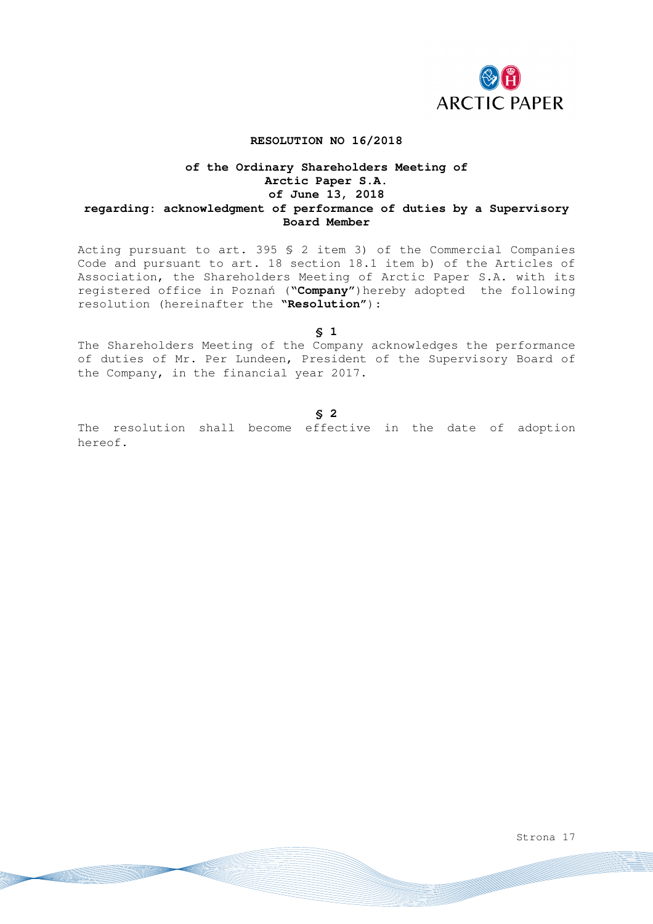

### **RESOLUTION NO 16/2018**

## **of the Ordinary Shareholders Meeting of Arctic Paper S.A. of June 13, 2018 regarding: acknowledgment of performance of duties by a Supervisory Board Member**

Acting pursuant to art. 395 § 2 item 3) of the Commercial Companies Code and pursuant to art. 18 section 18.1 item b) of the Articles of Association, the Shareholders Meeting of Arctic Paper S.A. with its registered office in Poznań ("**Company**")hereby adopted the following resolution (hereinafter the **"Resolution"**):

**§ 1** 

The Shareholders Meeting of the Company acknowledges the performance of duties of Mr. Per Lundeen, President of the Supervisory Board of the Company, in the financial year 2017.

#### **§ 2**

The resolution shall become effective in the date of adoption hereof.

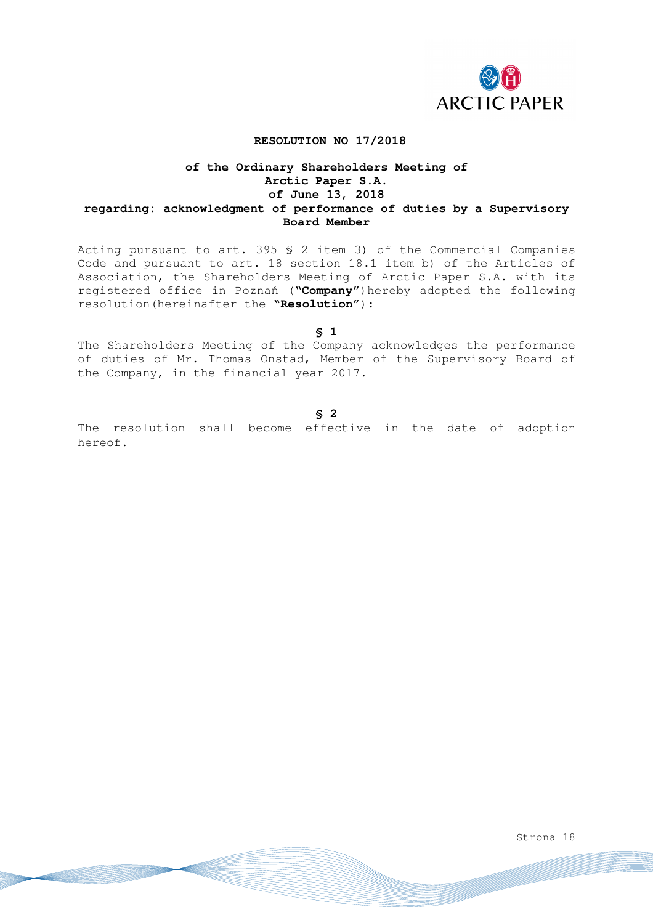

#### **RESOLUTION NO 17/2018**

## **of the Ordinary Shareholders Meeting of Arctic Paper S.A. of June 13, 2018 regarding: acknowledgment of performance of duties by a Supervisory Board Member**

Acting pursuant to art. 395 § 2 item 3) of the Commercial Companies Code and pursuant to art. 18 section 18.1 item b) of the Articles of Association, the Shareholders Meeting of Arctic Paper S.A. with its registered office in Poznań ("**Company**")hereby adopted the following resolution(hereinafter the **"Resolution"**):

**§ 1** 

The Shareholders Meeting of the Company acknowledges the performance of duties of Mr. Thomas Onstad, Member of the Supervisory Board of the Company, in the financial year 2017.

#### **§ 2**

The resolution shall become effective in the date of adoption hereof.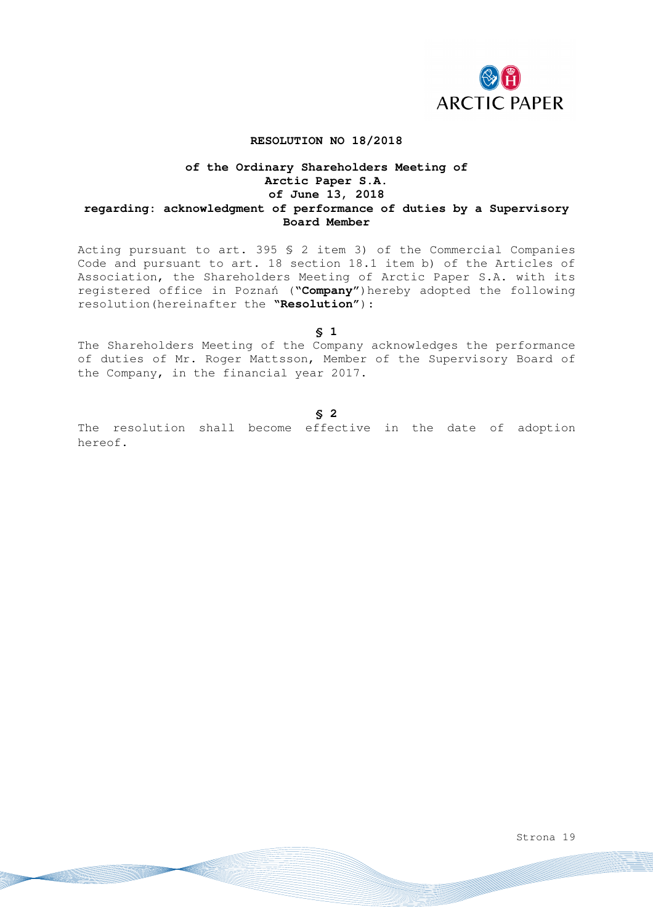

### **RESOLUTION NO 18/2018**

## **of the Ordinary Shareholders Meeting of Arctic Paper S.A. of June 13, 2018 regarding: acknowledgment of performance of duties by a Supervisory Board Member**

Acting pursuant to art. 395 § 2 item 3) of the Commercial Companies Code and pursuant to art. 18 section 18.1 item b) of the Articles of Association, the Shareholders Meeting of Arctic Paper S.A. with its registered office in Poznań ("**Company**")hereby adopted the following resolution(hereinafter the **"Resolution"**):

**§ 1** 

The Shareholders Meeting of the Company acknowledges the performance of duties of Mr. Roger Mattsson, Member of the Supervisory Board of the Company, in the financial year 2017.

#### **§ 2**

The resolution shall become effective in the date of adoption hereof.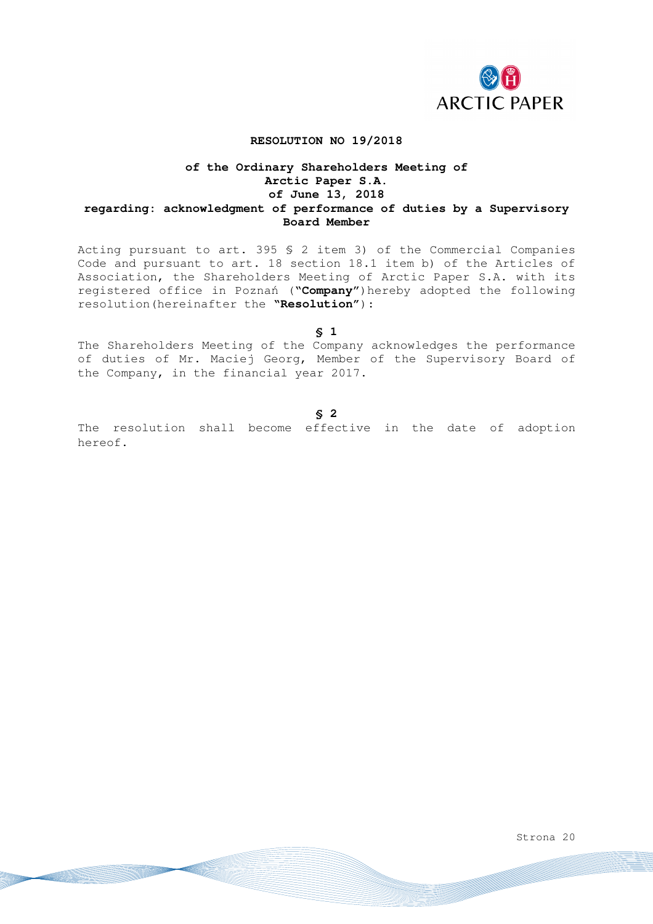

### **RESOLUTION NO 19/2018**

## **of the Ordinary Shareholders Meeting of Arctic Paper S.A. of June 13, 2018 regarding: acknowledgment of performance of duties by a Supervisory Board Member**

Acting pursuant to art. 395 § 2 item 3) of the Commercial Companies Code and pursuant to art. 18 section 18.1 item b) of the Articles of Association, the Shareholders Meeting of Arctic Paper S.A. with its registered office in Poznań ("**Company**")hereby adopted the following resolution(hereinafter the **"Resolution"**):

**§ 1** 

The Shareholders Meeting of the Company acknowledges the performance of duties of Mr. Maciej Georg, Member of the Supervisory Board of the Company, in the financial year 2017.

#### **§ 2**

The resolution shall become effective in the date of adoption hereof.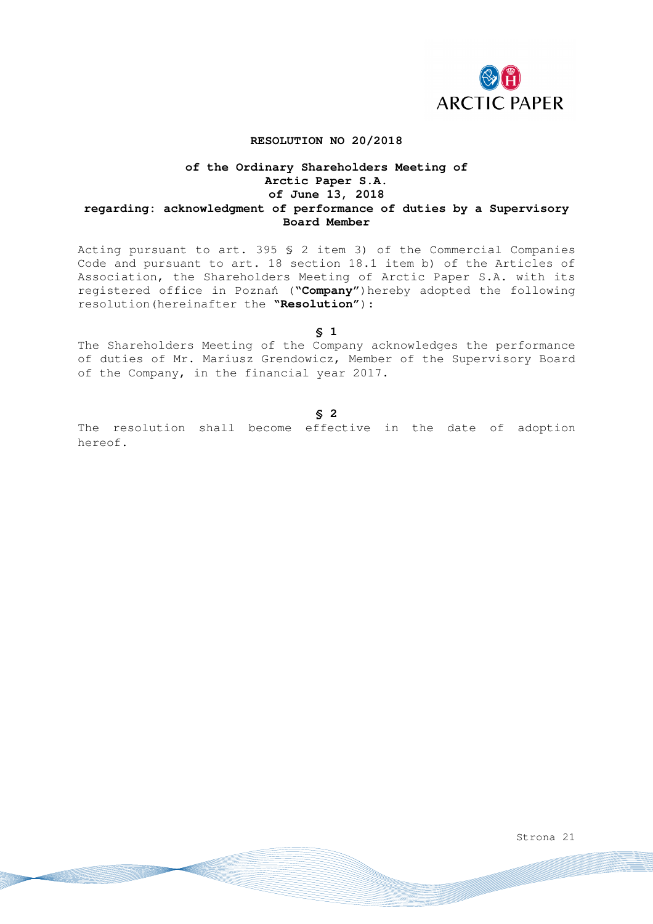

### **RESOLUTION NO 20/2018**

## **of the Ordinary Shareholders Meeting of Arctic Paper S.A. of June 13, 2018 regarding: acknowledgment of performance of duties by a Supervisory Board Member**

Acting pursuant to art. 395 § 2 item 3) of the Commercial Companies Code and pursuant to art. 18 section 18.1 item b) of the Articles of Association, the Shareholders Meeting of Arctic Paper S.A. with its registered office in Poznań ("**Company**")hereby adopted the following resolution(hereinafter the **"Resolution"**):

**§ 1** 

The Shareholders Meeting of the Company acknowledges the performance of duties of Mr. Mariusz Grendowicz, Member of the Supervisory Board of the Company, in the financial year 2017.

#### **§ 2**

The resolution shall become effective in the date of adoption hereof.